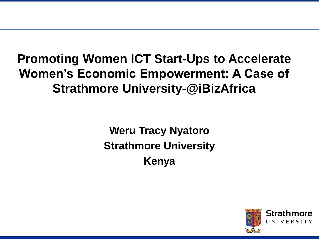# **Promoting Women ICT Start-Ups to Accelerate Women's Economic Empowerment: A Case of Strathmore University-@iBizAfrica**

**Weru Tracy Nyatoro Strathmore University Kenya**

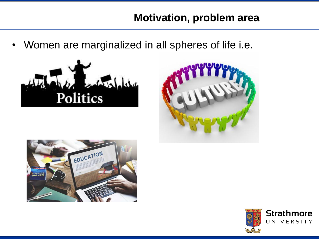## **Motivation, problem area**

• Women are marginalized in all spheres of life i.e.







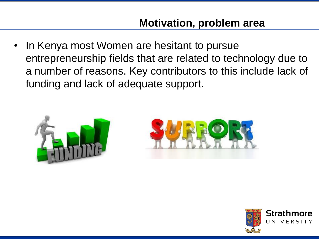In Kenya most Women are hesitant to pursue entrepreneurship fields that are related to technology due to a number of reasons. Key contributors to this include lack of funding and lack of adequate support.





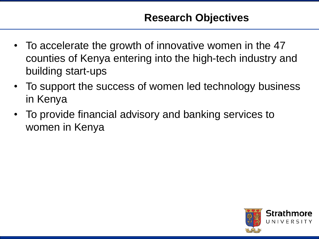- To accelerate the growth of innovative women in the 47 counties of Kenya entering into the high-tech industry and building start-ups
- To support the success of women led technology business in Kenya
- To provide financial advisory and banking services to women in Kenya

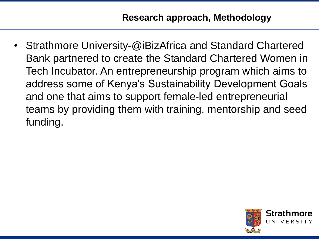• Strathmore University-@iBizAfrica and Standard Chartered Bank partnered to create the Standard Chartered Women in Tech Incubator. An entrepreneurship program which aims to address some of Kenya's Sustainability Development Goals and one that aims to support female-led entrepreneurial teams by providing them with training, mentorship and seed funding.

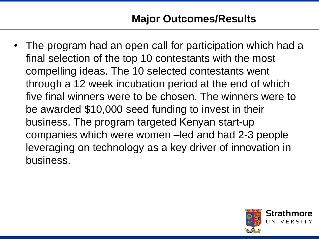## **Major Outcomes/Results**

• The program had an open call for participation which had a final selection of the top 10 contestants with the most compelling ideas. The 10 selected contestants went through a 12 week incubation period at the end of which five final winners were to be chosen. The winners were to be awarded \$10,000 seed funding to invest in their business. The program targeted Kenyan start-up companies which were women –led and had 2-3 people leveraging on technology as a key driver of innovation in business.

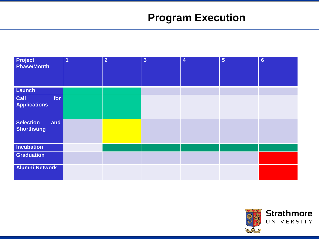# **Program Execution**

| <b>Project</b><br><b>Phase/Month</b>           | $\overline{1}$ | $\overline{2}$ | $\overline{3}$ | $\overline{4}$ | $5\phantom{1}$ | $6\phantom{a}$ |
|------------------------------------------------|----------------|----------------|----------------|----------------|----------------|----------------|
| Launch                                         |                |                |                |                |                |                |
| Call<br>for<br><b>Applications</b>             |                |                |                |                |                |                |
| <b>Selection</b><br>and<br><b>Shortlisting</b> |                |                |                |                |                |                |
| Incubation                                     |                |                |                |                |                |                |
| <b>Graduation</b>                              |                |                |                |                |                |                |
| <b>Alumni Network</b>                          |                |                |                |                |                |                |

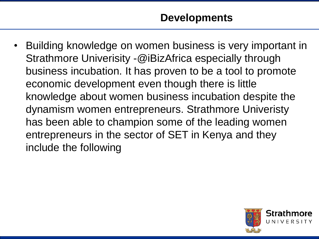• Building knowledge on women business is very important in Strathmore Univerisity -@iBizAfrica especially through business incubation. It has proven to be a tool to promote economic development even though there is little knowledge about women business incubation despite the dynamism women entrepreneurs. Strathmore Univeristy has been able to champion some of the leading women entrepreneurs in the sector of SET in Kenya and they include the following

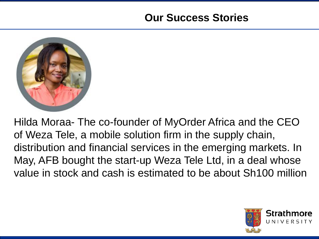#### **Our Success Stories**



Hilda Moraa- The co-founder of MyOrder Africa and the CEO of Weza Tele, a mobile solution firm in the supply chain, distribution and financial services in the emerging markets. In May, AFB bought the start-up Weza Tele Ltd, in a deal whose value in stock and cash is estimated to be about Sh100 million

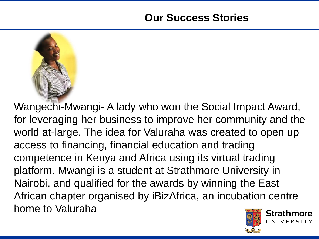

Strathmore Wangechi-Mwangi- A lady who won the Social Impact Award, for leveraging her business to improve her community and the world at-large. The idea for Valuraha was created to open up access to financing, financial education and trading competence in Kenya and Africa using its virtual trading platform. Mwangi is a student at Strathmore University in Nairobi, and qualified for the awards by winning the East African chapter organised by iBizAfrica, an incubation centre home to Valuraha

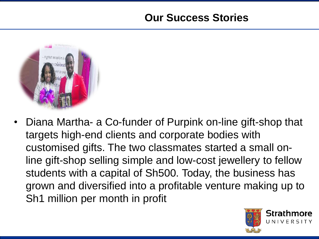## **Our Success Stories**



• Diana Martha- a Co-funder of Purpink on-line gift-shop that targets high-end clients and corporate bodies with customised gifts. The two classmates started a small online gift-shop selling simple and low-cost jewellery to fellow students with a capital of Sh500. Today, the business has grown and diversified into a profitable venture making up to Sh1 million per month in profit